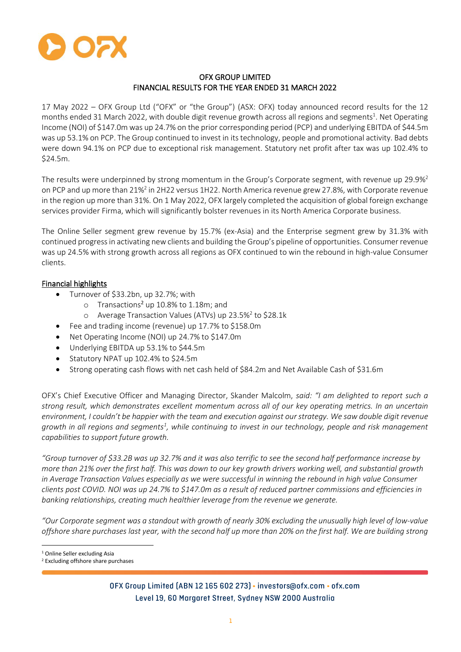

# OFX GROUP LIMITED FINANCIAL RESULTS FOR THE YEAR ENDED 31 MARCH 2022

17 May 2022 – OFX Group Ltd ("OFX" or "the Group") (ASX: OFX) today announced record results for the 12 months ended 31 March 2022, with double digit revenue growth across all regions and segments<sup>1</sup>. Net Operating Income (NOI) of \$147.0m was up 24.7% on the prior corresponding period (PCP) and underlying EBITDA of \$44.5m was up 53.1% on PCP. The Group continued to invest in its technology, people and promotional activity. Bad debts were down 94.1% on PCP due to exceptional risk management. Statutory net profit after tax was up 102.4% to \$24.5m.

The results were underpinned by strong momentum in the Group's Corporate segment, with revenue up 29.9%<sup>2</sup> on PCP and up more than 21%<sup>2</sup> in 2H22 versus 1H22. North America revenue grew 27.8%, with Corporate revenue in the region up more than 31%. On 1 May 2022, OFX largely completed the acquisition of global foreign exchange services provider Firma, which will significantly bolster revenues in its North America Corporate business.

The Online Seller segment grew revenue by 15.7% (ex-Asia) and the Enterprise segment grew by 31.3% with continued progress in activating new clients and building the Group's pipeline of opportunities. Consumer revenue was up 24.5% with strong growth across all regions as OFX continued to win the rebound in high-value Consumer clients.

# Financial highlights

- Turnover of \$33.2bn, up 32.7%; with
	- o Transactions<sup>2</sup> up 10.8% to 1.18m; and
	- o Average Transaction Values (ATVs) up 23.5%<sup>2</sup> to \$28.1k
- Fee and trading income (revenue) up 17.7% to \$158.0m
- Net Operating Income (NOI) up 24.7% to \$147.0m
- Underlying EBITDA up 53.1% to \$44.5m
- Statutory NPAT up 102.4% to \$24.5m
- Strong operating cash flows with net cash held of \$84.2m and Net Available Cash of \$31.6m

OFX's Chief Executive Officer and Managing Director, Skander Malcolm, *said: "I am delighted to report such a strong result, which demonstrates excellent momentum across all of our key operating metrics. In an uncertain environment, I couldn't be happier with the team and execution against our strategy. We saw double digit revenue growth in all regions and segments<sup>1</sup> , while continuing to invest in our technology, people and risk management capabilities to support future growth.* 

*"Group turnover of \$33.2B was up 32.7% and it was also terrific to see the second half performance increase by more than 21% over the first half. This was down to our key growth drivers working well, and substantial growth in Average Transaction Values especially as we were successful in winning the rebound in high value Consumer clients post COVID. NOI was up 24.7% to \$147.0m as a result of reduced partner commissions and efficiencies in banking relationships, creating much healthier leverage from the revenue we generate.* 

*"Our Corporate segment was a standout with growth of nearly 30% excluding the unusually high level of low-value offshore share purchases last year, with the second half up more than 20% on the first half. We are building strong* 

<sup>&</sup>lt;sup>1</sup> Online Seller excluding Asia

<sup>2</sup> Excluding offshore share purchases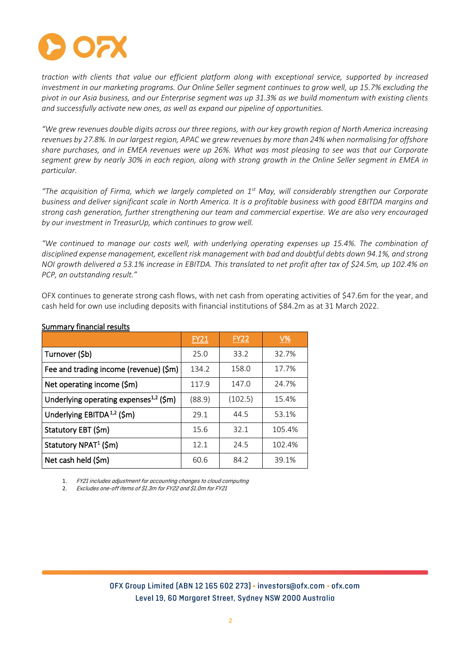

*traction with clients that value our efficient platform along with exceptional service, supported by increased investment in our marketing programs. Our Online Seller segment continues to grow well, up 15.7% excluding the pivot in our Asia business, and our Enterprise segment was up 31.3% as we build momentum with existing clients and successfully activate new ones, as well as expand our pipeline of opportunities.* 

*"We grew revenues double digits across our three regions, with our key growth region of North America increasing revenues by 27.8%. In our largest region, APAC we grew revenues by more than 24% when normalising for offshore share purchases, and in EMEA revenues were up 26%. What was most pleasing to see was that our Corporate segment grew by nearly 30% in each region, along with strong growth in the Online Seller segment in EMEA in particular.* 

*"The acquisition of Firma, which we largely completed on 1st May, will considerably strengthen our Corporate business and deliver significant scale in North America. It is a profitable business with good EBITDA margins and strong cash generation, further strengthening our team and commercial expertise. We are also very encouraged by our investment in TreasurUp, which continues to grow well.* 

*"We continued to manage our costs well, with underlying operating expenses up 15.4%. The combination of disciplined expense management, excellent risk management with bad and doubtful debts down 94.1%, and strong NOI growth delivered a 53.1% increase in EBITDA. This translated to net profit after tax of \$24.5m, up 102.4% on PCP, an outstanding result."*

OFX continues to generate strong cash flows, with net cash from operating activities of \$47.6m for the year, and cash held for own use including deposits with financial institutions of \$84.2m as at 31 March 2022.

|                                                    | FY21   | <b>FY22</b> | $\underline{V\%}$ |
|----------------------------------------------------|--------|-------------|-------------------|
| Turnover (\$b)                                     | 25.0   | 33.2        | 32.7%             |
| Fee and trading income (revenue) (\$m)             | 134.2  | 158.0       | 17.7%             |
| Net operating income (\$m)                         | 117.9  | 147.0       | 24.7%             |
| Underlying operating expenses <sup>1,2</sup> (\$m) | (88.9) | (102.5)     | 15.4%             |
| Underlying EBITDA <sup>1,2</sup> (\$m)             | 29.1   | 44.5        | 53.1%             |
| Statutory EBT (\$m)                                | 15.6   | 32.1        | 105.4%            |
| Statutory NPAT <sup>1</sup> (\$m)                  | 12.1   | 24.5        | 102.4%            |
| Net cash held (\$m)                                | 60.6   | 84.2        | 39.1%             |

#### Summary financial results

1. FY21 includes adjustment for accounting changes to cloud computing

2. Excludes one-off items of \$1.3m for FY22 and \$1.0m for FY21